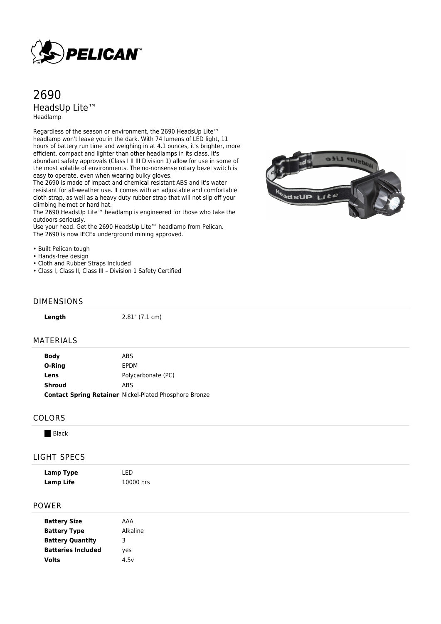

# 2690 HeadsUp Lite™ Headlamp

Regardless of the season or environment, the 2690 HeadsUp Lite™ headlamp won't leave you in the dark. With 74 lumens of LED light, 11 hours of battery run time and weighing in at 4.1 ounces, it's brighter, more efficient, compact and lighter than other headlamps in its class. It's abundant safety approvals (Class I II III Division 1) allow for use in some of the most volatile of environments. The no-nonsense rotary bezel switch is easy to operate, even when wearing bulky gloves.

The 2690 is made of impact and chemical resistant ABS and it's water resistant for all-weather use. It comes with an adjustable and comfortable cloth strap, as well as a heavy duty rubber strap that will not slip off your climbing helmet or hard hat.

The 2690 HeadsUp Lite™ headlamp is engineered for those who take the outdoors seriously.

Use your head. Get the 2690 HeadsUp Lite™ headlamp from Pelican. The 2690 is now IECEx underground mining approved.

• Built Pelican tough

- Hands-free design
- Cloth and Rubber Straps Included
- Class I, Class II, Class III Division 1 Safety Certified

### DIMENSIONS

| Length        | $2.81$ " (7.1 cm)                                             |
|---------------|---------------------------------------------------------------|
| MATERIALS     |                                                               |
| <b>Body</b>   | <b>ABS</b>                                                    |
| O-Ring        | EPDM                                                          |
| Lens          | Polycarbonate (PC)                                            |
| <b>Shroud</b> | ABS                                                           |
|               | <b>Contact Spring Retainer Nickel-Plated Phosphore Bronze</b> |
|               |                                                               |
| CUI UBC       |                                                               |

### COLORS

**Black** 

### LIGHT SPECS

| <b>Lamp Type</b><br><b>Lamp Life</b> | LED<br>10000 hrs |  |
|--------------------------------------|------------------|--|
| <b>POWER</b>                         |                  |  |
| <b>Battery Size</b>                  | AAA              |  |
| <b>Battery Type</b>                  | Alkaline         |  |
|                                      |                  |  |

| <b>Battery Type</b>       | Alkali |
|---------------------------|--------|
| <b>Battery Quantity</b>   | 3      |
| <b>Batteries Included</b> | yes    |
| Volts                     | 4.5v   |